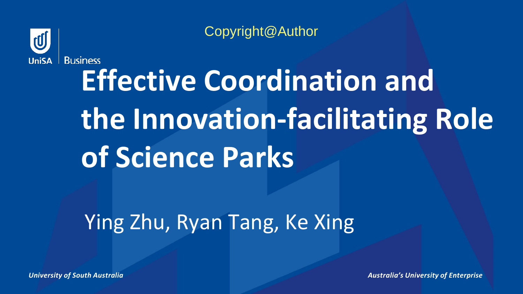

Copyright@Author

# **Effective Coordination and the Innovation-facilitating Role of Science Parks**

Ying Zhu, Ryan Tang, Ke Xing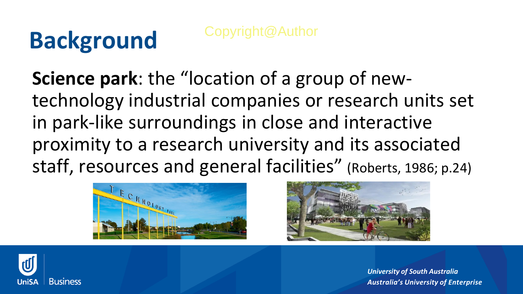#### **Background**

**Science park**: the "location of a group of newtechnology industrial companies or research units set in park-like surroundings in close and interactive proximity to a research university and its associated staff, resources and general facilities" (Roberts, 1986; p.24)





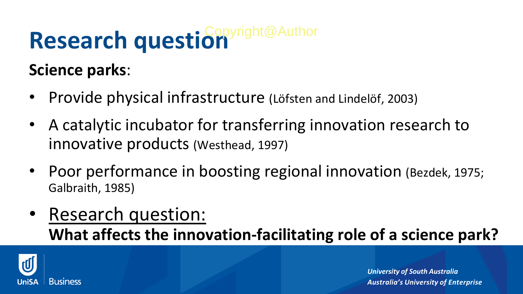## Research question

**Science parks**:

- Provide physical infrastructure (Löfsten and Lindelöf, 2003)
- A catalytic incubator for transferring innovation research to innovative products (Westhead, 1997)
- Poor performance in boosting regional innovation (Bezdek, 1975; Galbraith, 1985)
- Research question: **What affects the innovation-facilitating role of a science park?**

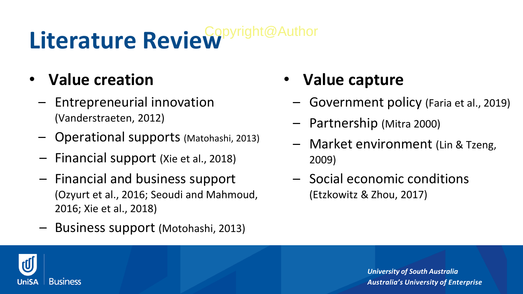## Literature Review<sup>Copyright@Author</sup>

- **Value creation**
	- Entrepreneurial innovation (Vanderstraeten, 2012)
	- Operational supports (Matohashi, 2013)
	- Financial support (Xie et al., 2018)
	- Financial and business support (Ozyurt et al., 2016; Seoudi and Mahmoud, 2016; Xie et al., 2018)
	- Business support (Motohashi, 2013)
- **Value capture**
	- Government policy (Faria et al., 2019)
	- Partnership (Mitra 2000)
	- Market environment (Lin & Tzeng, 2009)
	- Social economic conditions (Etzkowitz & Zhou, 2017)

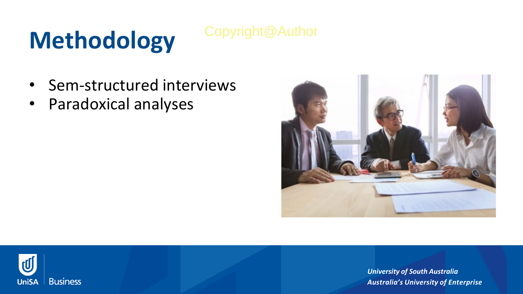### **Methodology**

#### Copyright@Author

- Sem-structured interviews
- Paradoxical analyses



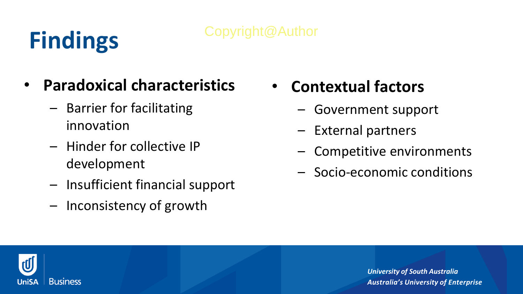### **Findings**

#### Copyright@Author

- **Paradoxical characteristics**
	- Barrier for facilitating innovation
	- Hinder for collective IP development
	- Insufficient financial support
	- Inconsistency of growth
- **Contextual factors**
	- Government support
	- External partners
	- Competitive environments
	- Socio-economic conditions

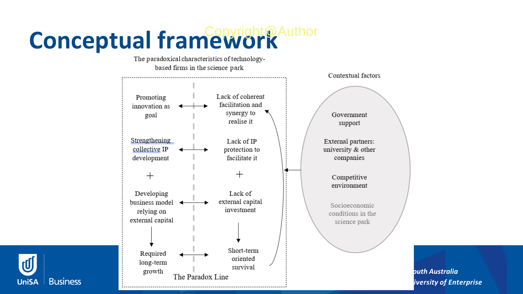# **Conceptual framework**

**Business** 

**UniSA**